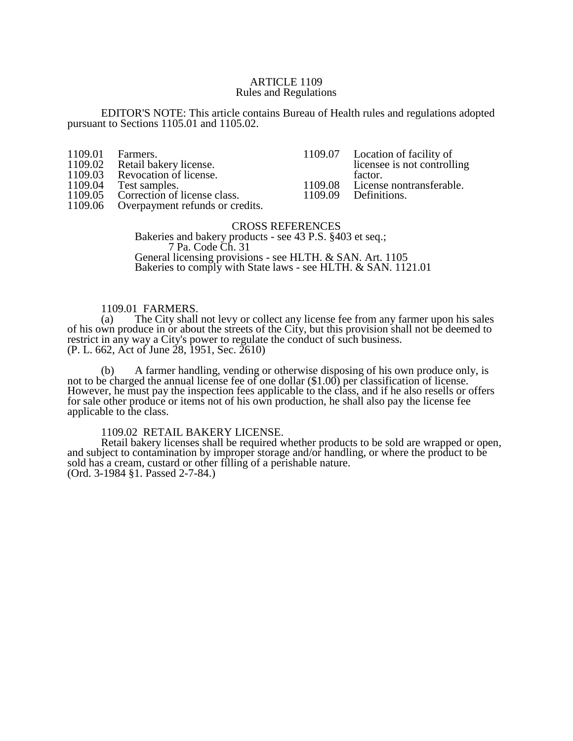### ARTICLE 1109 Rules and Regulations

EDITOR'S NOTE: This article contains Bureau of Health rules and regulations adopted pursuant to Sections 1105.01 and 1105.02.

| 1109.01 | Farmers.                                |         | 1109.07 Location of facility of  |
|---------|-----------------------------------------|---------|----------------------------------|
| 1109.02 | Retail bakery license.                  |         | licensee is not controlling      |
|         | 1109.03 Revocation of license.          |         | factor.                          |
| 1109.04 | Test samples.                           |         | 1109.08 License nontransferable. |
|         | 1109.05 Correction of license class.    | 1109.09 | Definitions.                     |
|         | 1109.06 Overpayment refunds or credits. |         |                                  |

### CROSS REFERENCES Bakeries and bakery products - see 43 P.S. §403 et seq.; 7 Pa. Code Ch. 31 General licensing provisions - see HLTH. & SAN. Art. 1105 Bakeries to comply with State laws - see HLTH. & SAN. 1121.01

# 1109.01 FARMERS.

(a) The City shall not levy or collect any license fee from any farmer upon his sales of his own produce in or about the streets of the City, but this provision shall not be deemed to restrict in any way a City's power to regulate the conduct of such business. (P. L. 662, Act of June 28, 1951, Sec. 2610)

(b) A farmer handling, vending or otherwise disposing of his own produce only, is not to be charged the annual license fee of one dollar (\$1.00) per classification of license. However, he must pay the inspection fees applicable to the class, and if he also resells or offers for sale other produce or items not of his own production, he shall also pay the license fee applicable to the class.

1109.02 RETAIL BAKERY LICENSE.

Retail bakery licenses shall be required whether products to be sold are wrapped or open, and subject to contamination by improper storage and/or handling, or where the product to be sold has a cream, custard or other filling of a perishable nature. (Ord. 3-1984 §1. Passed 2-7-84.)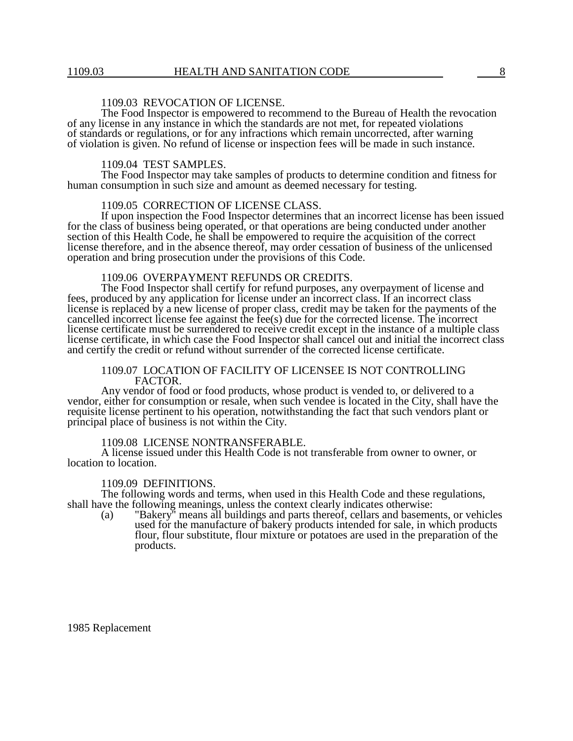# 1109.03 REVOCATION OF LICENSE.

The Food Inspector is empowered to recommend to the Bureau of Health the revocation of any license in any instance in which the standards are not met, for repeated violations of standards or regulations, or for any infractions which remain uncorrected, after warning of violation is given. No refund of license or inspection fees will be made in such instance.

#### 1109.04 TEST SAMPLES.

The Food Inspector may take samples of products to determine condition and fitness for human consumption in such size and amount as deemed necessary for testing.

### 1109.05 CORRECTION OF LICENSE CLASS.

If upon inspection the Food Inspector determines that an incorrect license has been issued for the class of business being operated, or that operations are being conducted under another section of this Health Code, he shall be empowered to require the acquisition of the correct license therefore, and in the absence thereof, may order cessation of business of the unlicensed operation and bring prosecution under the provisions of this Code.

# 1109.06 OVERPAYMENT REFUNDS OR CREDITS.

The Food Inspector shall certify for refund purposes, any overpayment of license and fees, produced by any application for license under an incorrect class. If an incorrect class license is replaced by a new license of proper class, credit may be taken for the payments of the cancelled incorrect license fee against the fee(s) due for the corrected license. The incorrect license certificate must be surrendered to receive credit except in the instance of a multiple class license certificate, in which case the Food Inspector shall cancel out and initial the incorrect class and certify the credit or refund without surrender of the corrected license certificate.

# 1109.07 LOCATION OF FACILITY OF LICENSEE IS NOT CONTROLLING FACTOR.

Any vendor of food or food products, whose product is vended to, or delivered to a vendor, either for consumption or resale, when such vendee is located in the City, shall have the requisite license pertinent to his operation, notwithstanding the fact that such vendors plant or principal place of business is not within the City.

#### 1109.08 LICENSE NONTRANSFERABLE.

A license issued under this Health Code is not transferable from owner to owner, or location to location.

#### 1109.09 DEFINITIONS.

The following words and terms, when used in this Health Code and these regulations, shall have the following meanings, unless the context clearly indicates otherwise:

(a) "Bakery" means all buildings and parts thereof, cellars and basements, or vehicles used for the manufacture of bakery products intended for sale, in which products flour, flour substitute, flour mixture or potatoes are used in the preparation of the products.

1985 Replacement